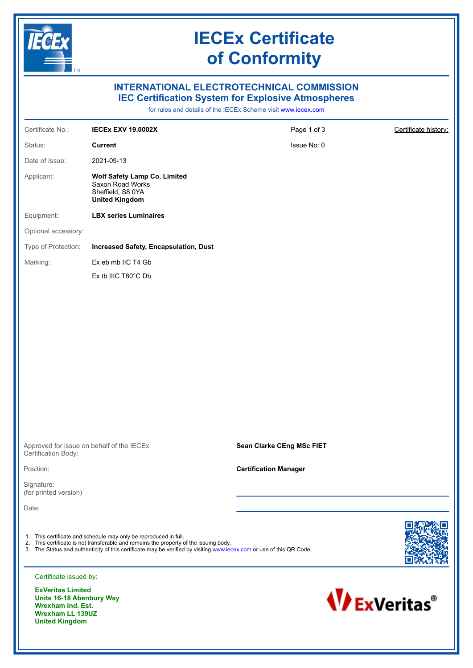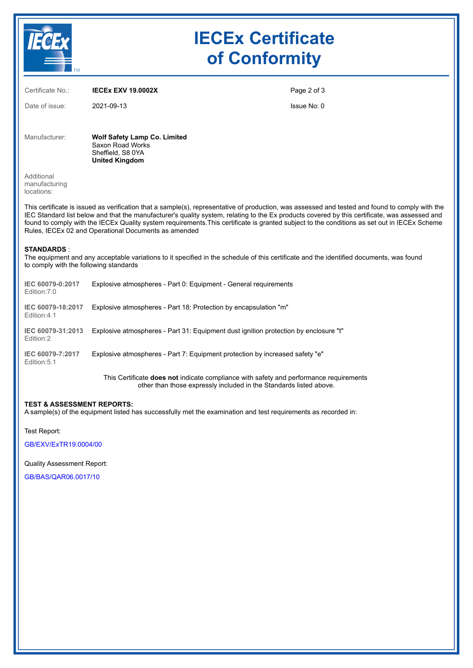

# **IECEx Certificate of Conformity**

| Certificate No.:                                                                                                                                                                                                                                                                                                                                                                                                                                                                                         | <b>IECEX EXV 19.0002X</b>                                                                             | Page 2 of 3 |  |  |
|----------------------------------------------------------------------------------------------------------------------------------------------------------------------------------------------------------------------------------------------------------------------------------------------------------------------------------------------------------------------------------------------------------------------------------------------------------------------------------------------------------|-------------------------------------------------------------------------------------------------------|-------------|--|--|
| Date of issue:                                                                                                                                                                                                                                                                                                                                                                                                                                                                                           | 2021-09-13                                                                                            | Issue No: 0 |  |  |
| Manufacturer:                                                                                                                                                                                                                                                                                                                                                                                                                                                                                            | <b>Wolf Safety Lamp Co. Limited</b><br>Saxon Road Works<br>Sheffield, S8 0YA<br><b>United Kingdom</b> |             |  |  |
| Additional<br>manufacturing<br>locations:                                                                                                                                                                                                                                                                                                                                                                                                                                                                |                                                                                                       |             |  |  |
| This certificate is issued as verification that a sample(s), representative of production, was assessed and tested and found to comply with the<br>IEC Standard list below and that the manufacturer's quality system, relating to the Ex products covered by this certificate, was assessed and<br>found to comply with the IECEx Quality system requirements. This certificate is granted subject to the conditions as set out in IECEx Scheme<br>Rules, IECEx 02 and Operational Documents as amended |                                                                                                       |             |  |  |
| <b>STANDARDS:</b><br>The equipment and any acceptable variations to it specified in the schedule of this certificate and the identified documents, was found<br>to comply with the following standards                                                                                                                                                                                                                                                                                                   |                                                                                                       |             |  |  |
| IEC 60079-0:2017<br>Edition: 7.0                                                                                                                                                                                                                                                                                                                                                                                                                                                                         | Explosive atmospheres - Part 0: Equipment - General requirements                                      |             |  |  |
| IEC 60079-18:2017<br>Edition: 4.1                                                                                                                                                                                                                                                                                                                                                                                                                                                                        | Explosive atmospheres - Part 18: Protection by encapsulation "m"                                      |             |  |  |
| IEC 60079-31:2013<br>Edition:2                                                                                                                                                                                                                                                                                                                                                                                                                                                                           | Explosive atmospheres - Part 31: Equipment dust ignition protection by enclosure "t"                  |             |  |  |
| IEC 60079-7:2017<br>Edition: 5.1                                                                                                                                                                                                                                                                                                                                                                                                                                                                         | Explosive atmospheres - Part 7: Equipment protection by increased safety "e"                          |             |  |  |
|                                                                                                                                                                                                                                                                                                                                                                                                                                                                                                          | This Certificate done not indicate compliance with safety and performance requirements                |             |  |  |

This Certificate **does not** indicate compliance with safety and performance requirements other than those expressly included in the Standards listed above.

### **TEST & ASSESSMENT REPORTS:**

A sample(s) of the equipment listed has successfully met the examination and test requirements as recorded in:

Test Report:

[GB/EXV/ExTR19.0004/00](https://www.iecex-certs.com/deliverables/REPORT/22490/view)

Quality Assessment Report:

[GB/BAS/QAR06.0017/10](https://www.iecex-certs.com/deliverables/REPORT/77343/view)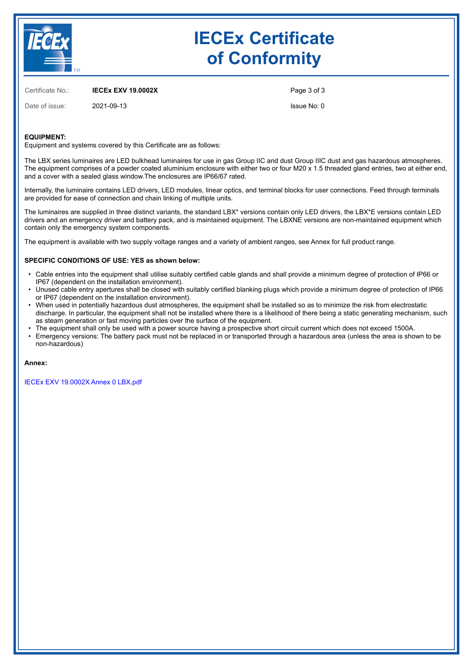

# **IECEx Certificate of Conformity**

Certificate No.: **IECEx EXV 19.0002X**

Date of issue: 2021-09-13

Page 3 of 3

Issue No: 0

### **EQUIPMENT:**

Equipment and systems covered by this Certificate are as follows:

The LBX series luminaires are LED bulkhead luminaires for use in gas Group IIC and dust Group IIIC dust and gas hazardous atmospheres. The equipment comprises of a powder coated aluminium enclosure with either two or four M20 x 1.5 threaded gland entries, two at either end, and a cover with a sealed glass window.The enclosures are IP66/67 rated.

Internally, the luminaire contains LED drivers, LED modules, linear optics, and terminal blocks for user connections. Feed through terminals are provided for ease of connection and chain linking of multiple units.

The luminaires are supplied in three distinct variants, the standard LBX\* versions contain only LED drivers, the LBX\*E versions contain LED drivers and an emergency driver and battery pack, and is maintained equipment. The LBXNE versions are non-maintained equipment which contain only the emergency system components.

The equipment is available with two supply voltage ranges and a variety of ambient ranges, see Annex for full product range.

#### **SPECIFIC CONDITIONS OF USE: YES as shown below:**

- Cable entries into the equipment shall utilise suitably certified cable glands and shall provide a minimum degree of protection of IP66 or IP67 (dependent on the installation environment).
- Unused cable entry apertures shall be closed with suitably certified blanking plugs which provide a minimum degree of protection of IP66 or IP67 (dependent on the installation environment).
- When used in potentially hazardous dust atmospheres, the equipment shall be installed so as to minimize the risk from electrostatic discharge. In particular, the equipment shall not be installed where there is a likelihood of there being a static generating mechanism, such as steam generation or fast moving particles over the surface of the equipment.
- • The equipment shall only be used with a power source having a prospective short circuit current which does not exceed 1500A. Emergency versions: The battery pack must not be replaced in or transported through a hazardous area (unless the area is shown to be non-hazardous)

#### **Annex:**

[IECEx EXV 19.0002X Annex 0 LBX.pdf](https://www.iecex-certs.com/deliverables/CERT/17826/view)